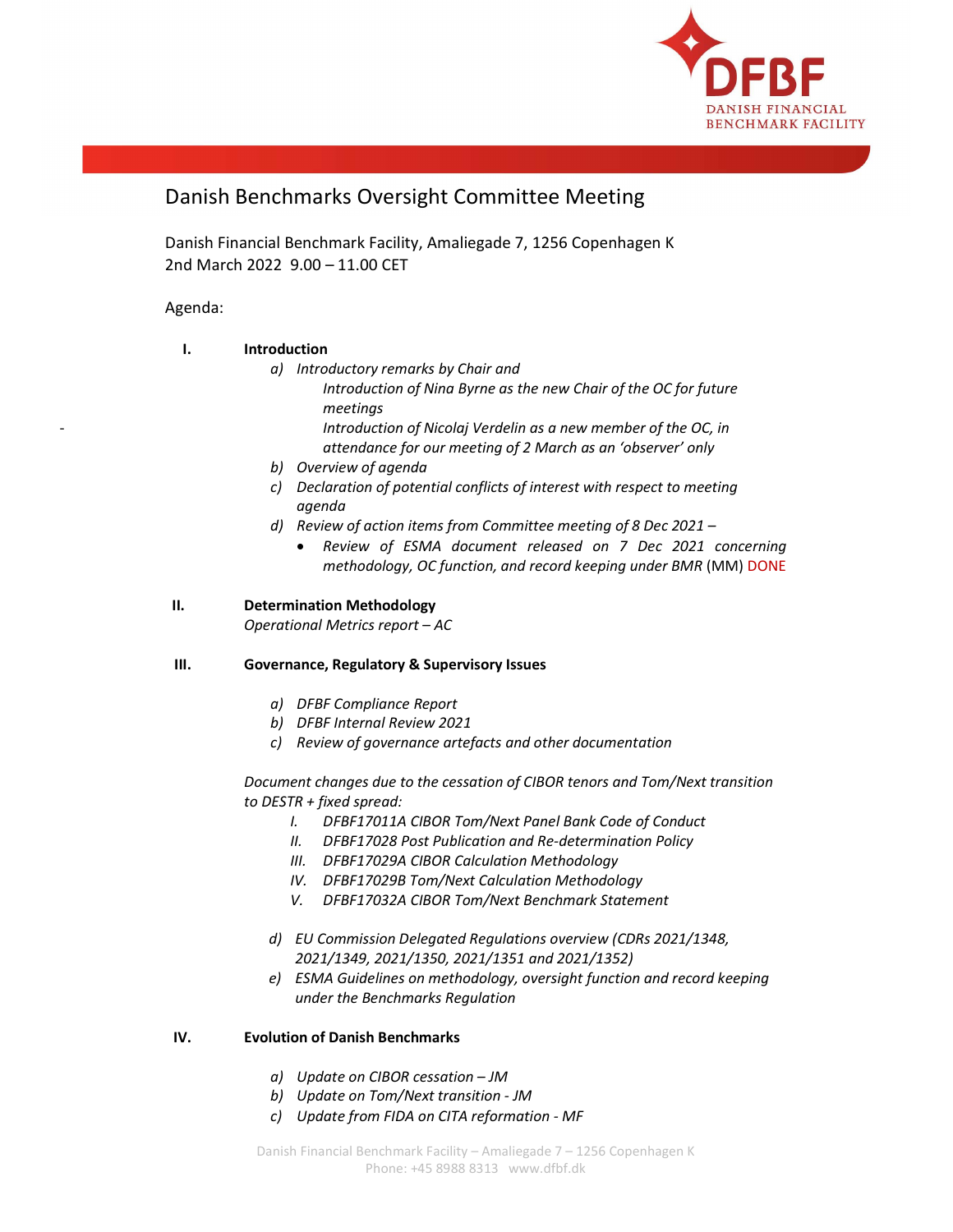

# Danish Benchmarks Oversight Committee Meeting

Danish Financial Benchmark Facility, Amaliegade 7, 1256 Copenhagen K 2nd March 2022 9.00 – 11.00 CET

# Agenda:

# I. Introduction

- a) Introductory remarks by Chair and Introduction of Nina Byrne as the new Chair of the OC for future
	- meetings Introduction of Nicolaj Verdelin as a new member of the OC, in attendance for our meeting of 2 March as an 'observer' only
- b) Overview of agenda
- c) Declaration of potential conflicts of interest with respect to meeting agenda
- d) Review of action items from Committee meeting of 8 Dec 2021
	- Review of ESMA document released on 7 Dec 2021 concerning methodology, OC function, and record keeping under BMR (MM) DONE

# II. Determination Methodology

Operational Metrics report – AC

## III. Governance, Regulatory & Supervisory Issues

- a) DFBF Compliance Report
- b) DFBF Internal Review 2021
- c) Review of governance artefacts and other documentation

Document changes due to the cessation of CIBOR tenors and Tom/Next transition to DESTR + fixed spread:

- I. DFBF17011A CIBOR Tom/Next Panel Bank Code of Conduct
- II. DFBF17028 Post Publication and Re-determination Policy
- III. DFBF17029A CIBOR Calculation Methodology
- IV. DFBF17029B Tom/Next Calculation Methodology
- V. DFBF17032A CIBOR Tom/Next Benchmark Statement
- d) EU Commission Delegated Regulations overview (CDRs 2021/1348, 2021/1349, 2021/1350, 2021/1351 and 2021/1352)
- e) ESMA Guidelines on methodology, oversight function and record keeping under the Benchmarks Regulation

## IV. Evolution of Danish Benchmarks

- a) Update on CIBOR cessation JM
- b) Update on Tom/Next transition JM
- c) Update from FIDA on CITA reformation MF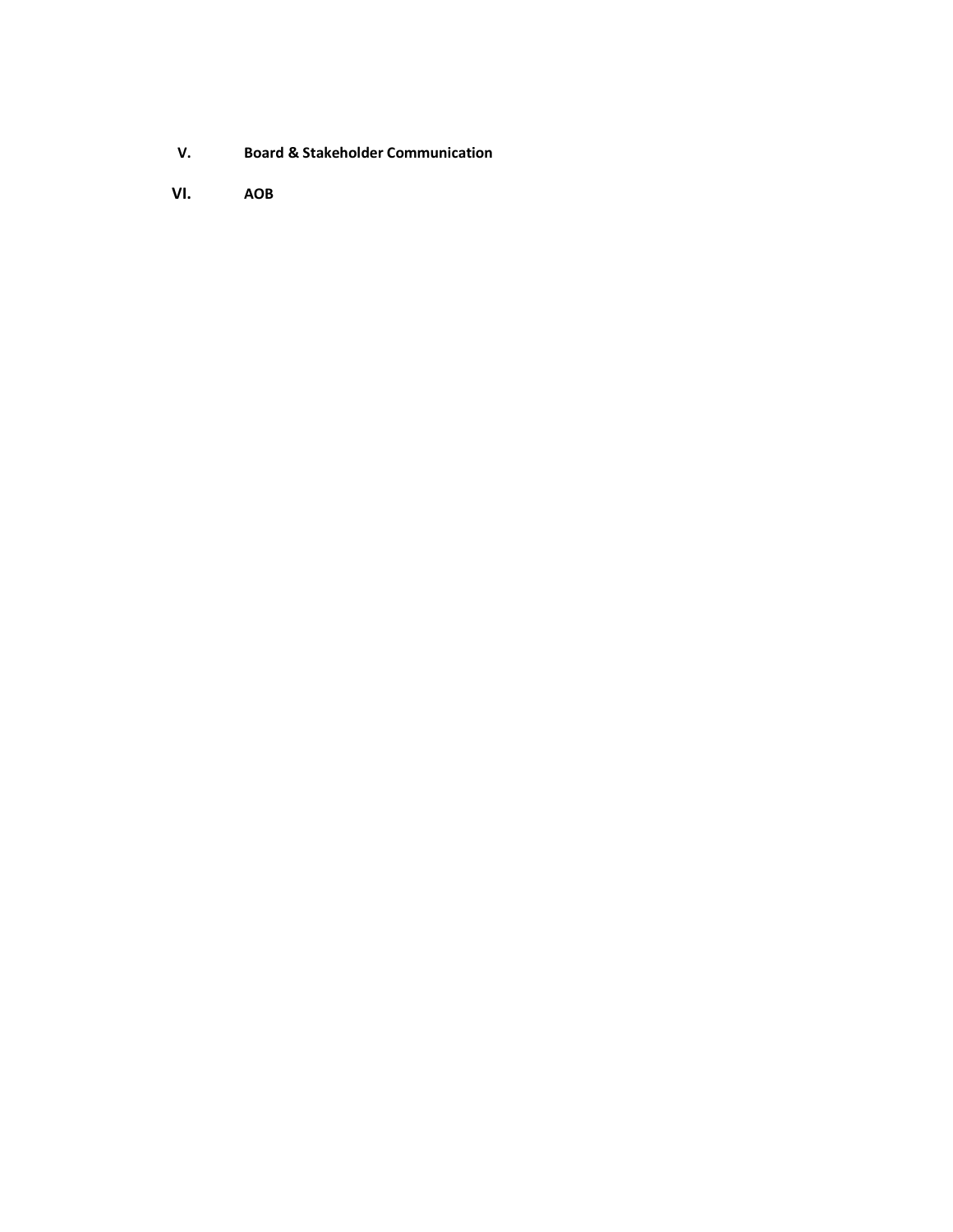- V. Board & Stakeholder Communication
- VI. AOB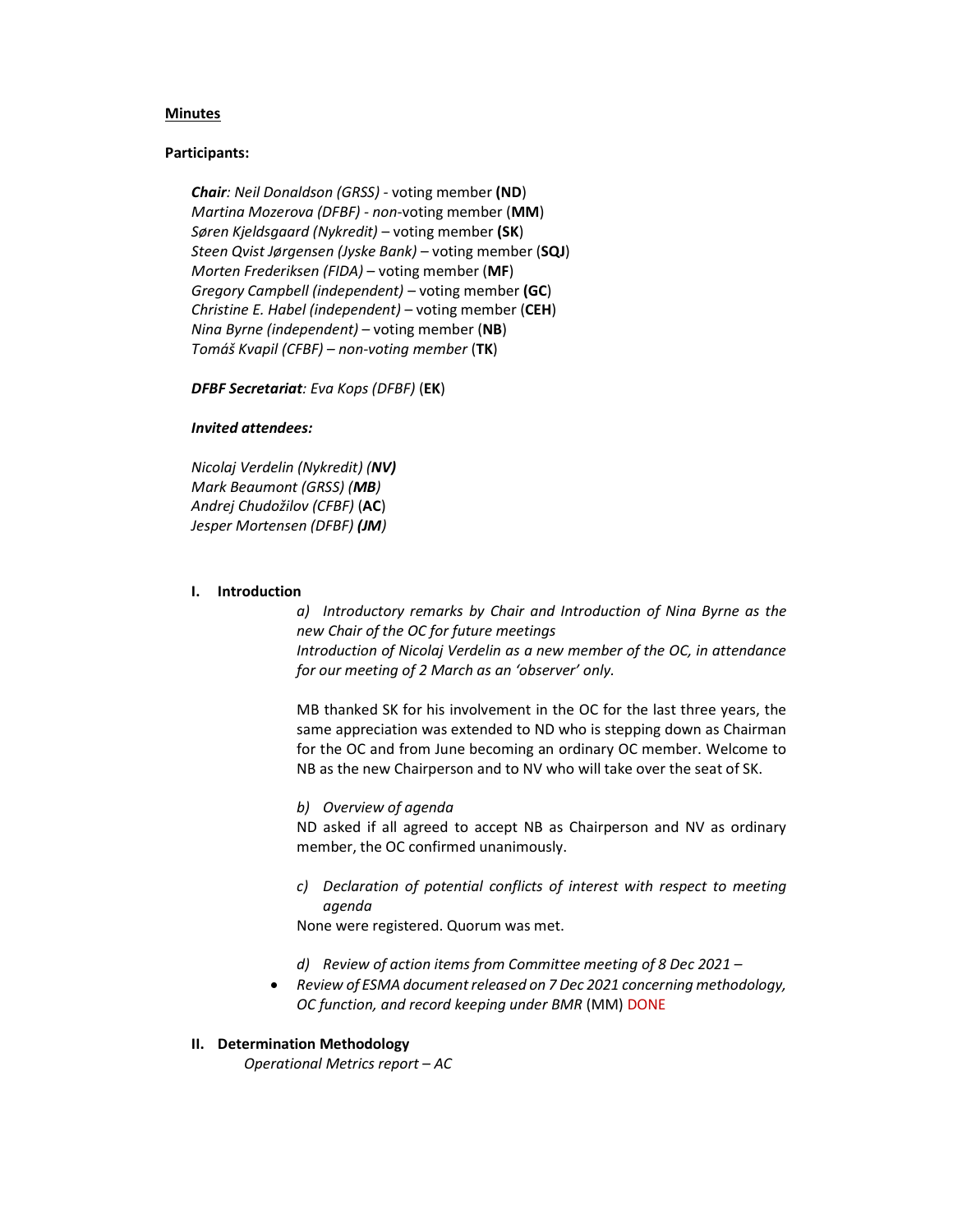#### Minutes

#### Participants:

Chair: Neil Donaldson (GRSS) - voting member (ND) Martina Mozerova (DFBF) - non-voting member (MM) Søren Kjeldsgaard (Nykredit) – voting member (SK) Steen Qvist Jørgensen (Jyske Bank) – voting member (SQJ) Morten Frederiksen (FIDA) – voting member (MF) Gregory Campbell (independent) – voting member (GC) Christine E. Habel (independent) – voting member (CEH) Nina Byrne (independent) – voting member (NB) Tomáš Kvapil (CFBF) – non-voting member (TK)

DFBF Secretariat: Eva Kops (DFBF) (EK)

#### Invited attendees:

Nicolaj Verdelin (Nykredit) (NV) Mark Beaumont (GRSS) (MB) Andrej Chudožilov (CFBF) (AC) Jesper Mortensen (DFBF) (JM)

#### I. Introduction

a) Introductory remarks by Chair and Introduction of Nina Byrne as the new Chair of the OC for future meetings Introduction of Nicolaj Verdelin as a new member of the OC, in attendance for our meeting of 2 March as an 'observer' only.

MB thanked SK for his involvement in the OC for the last three years, the same appreciation was extended to ND who is stepping down as Chairman for the OC and from June becoming an ordinary OC member. Welcome to NB as the new Chairperson and to NV who will take over the seat of SK.

b) Overview of agenda

ND asked if all agreed to accept NB as Chairperson and NV as ordinary member, the OC confirmed unanimously.

c) Declaration of potential conflicts of interest with respect to meeting agenda

None were registered. Quorum was met.

- d) Review of action items from Committee meeting of 8 Dec 2021 –
- Review of ESMA document released on 7 Dec 2021 concerning methodology, OC function, and record keeping under BMR (MM) DONE
- II. Determination Methodology

Operational Metrics report – AC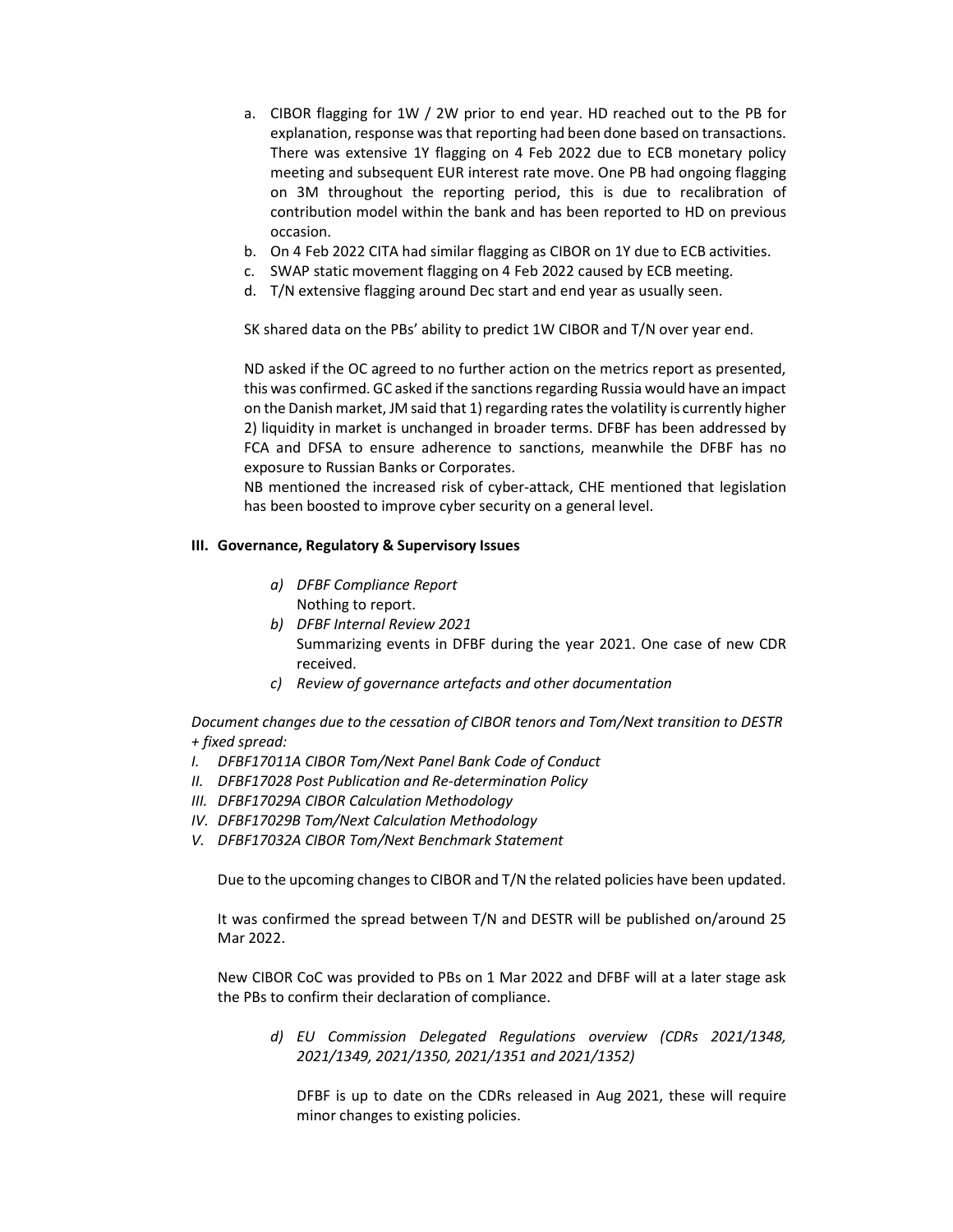- a. CIBOR flagging for 1W / 2W prior to end year. HD reached out to the PB for explanation, response was that reporting had been done based on transactions. There was extensive 1Y flagging on 4 Feb 2022 due to ECB monetary policy meeting and subsequent EUR interest rate move. One PB had ongoing flagging on 3M throughout the reporting period, this is due to recalibration of contribution model within the bank and has been reported to HD on previous occasion.
- b. On 4 Feb 2022 CITA had similar flagging as CIBOR on 1Y due to ECB activities.
- c. SWAP static movement flagging on 4 Feb 2022 caused by ECB meeting.
- d. T/N extensive flagging around Dec start and end year as usually seen.

SK shared data on the PBs' ability to predict 1W CIBOR and T/N over year end.

ND asked if the OC agreed to no further action on the metrics report as presented, this was confirmed. GC asked if the sanctions regarding Russia would have an impact on the Danish market, JM said that 1) regarding rates the volatility is currently higher 2) liquidity in market is unchanged in broader terms. DFBF has been addressed by FCA and DFSA to ensure adherence to sanctions, meanwhile the DFBF has no exposure to Russian Banks or Corporates.

NB mentioned the increased risk of cyber-attack, CHE mentioned that legislation has been boosted to improve cyber security on a general level.

#### III. Governance, Regulatory & Supervisory Issues

- a) DFBF Compliance Report Nothing to report.
- b) DFBF Internal Review 2021 Summarizing events in DFBF during the year 2021. One case of new CDR received.
- c) Review of governance artefacts and other documentation

Document changes due to the cessation of CIBOR tenors and Tom/Next transition to DESTR + fixed spread:

- I. DFBF17011A CIBOR Tom/Next Panel Bank Code of Conduct
- II. DFBF17028 Post Publication and Re-determination Policy
- III. DFBF17029A CIBOR Calculation Methodology
- IV. DFBF17029B Tom/Next Calculation Methodology
- V. DFBF17032A CIBOR Tom/Next Benchmark Statement

Due to the upcoming changes to CIBOR and T/N the related policies have been updated.

It was confirmed the spread between T/N and DESTR will be published on/around 25 Mar 2022.

New CIBOR CoC was provided to PBs on 1 Mar 2022 and DFBF will at a later stage ask the PBs to confirm their declaration of compliance.

d) EU Commission Delegated Regulations overview (CDRs 2021/1348, 2021/1349, 2021/1350, 2021/1351 and 2021/1352)

DFBF is up to date on the CDRs released in Aug 2021, these will require minor changes to existing policies.